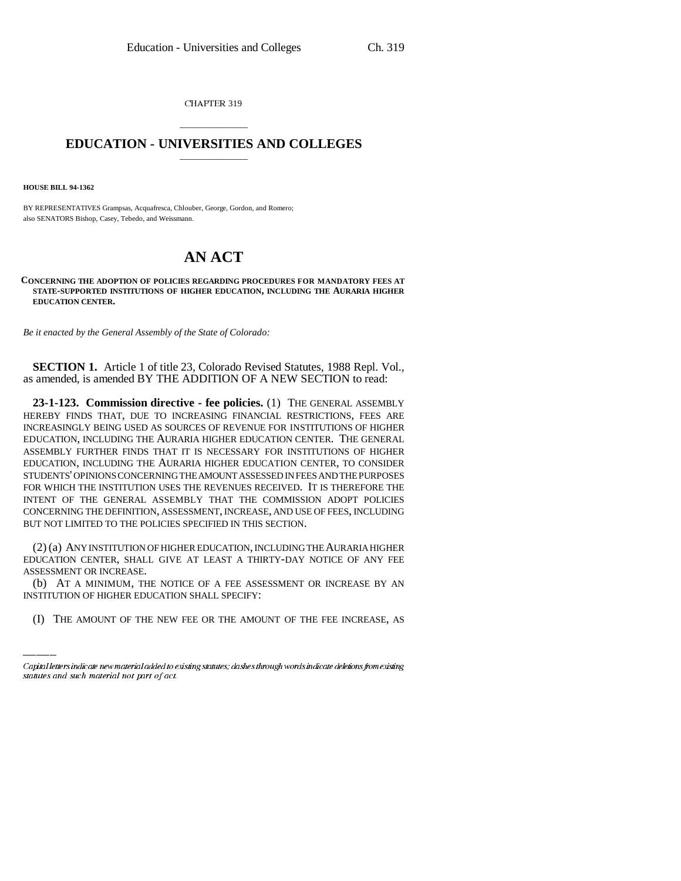CHAPTER 319

## \_\_\_\_\_\_\_\_\_\_\_\_\_\_\_ **EDUCATION - UNIVERSITIES AND COLLEGES** \_\_\_\_\_\_\_\_\_\_\_\_\_\_\_

**HOUSE BILL 94-1362**

BY REPRESENTATIVES Grampsas, Acquafresca, Chlouber, George, Gordon, and Romero; also SENATORS Bishop, Casey, Tebedo, and Weissmann.

## **AN ACT**

**CONCERNING THE ADOPTION OF POLICIES REGARDING PROCEDURES FOR MANDATORY FEES AT STATE-SUPPORTED INSTITUTIONS OF HIGHER EDUCATION, INCLUDING THE AURARIA HIGHER EDUCATION CENTER.**

*Be it enacted by the General Assembly of the State of Colorado:*

**SECTION 1.** Article 1 of title 23, Colorado Revised Statutes, 1988 Repl. Vol., as amended, is amended BY THE ADDITION OF A NEW SECTION to read:

**23-1-123. Commission directive - fee policies.** (1) THE GENERAL ASSEMBLY HEREBY FINDS THAT, DUE TO INCREASING FINANCIAL RESTRICTIONS, FEES ARE INCREASINGLY BEING USED AS SOURCES OF REVENUE FOR INSTITUTIONS OF HIGHER EDUCATION, INCLUDING THE AURARIA HIGHER EDUCATION CENTER. THE GENERAL ASSEMBLY FURTHER FINDS THAT IT IS NECESSARY FOR INSTITUTIONS OF HIGHER EDUCATION, INCLUDING THE AURARIA HIGHER EDUCATION CENTER, TO CONSIDER STUDENTS' OPINIONS CONCERNING THE AMOUNT ASSESSED IN FEES AND THE PURPOSES FOR WHICH THE INSTITUTION USES THE REVENUES RECEIVED. IT IS THEREFORE THE INTENT OF THE GENERAL ASSEMBLY THAT THE COMMISSION ADOPT POLICIES CONCERNING THE DEFINITION, ASSESSMENT, INCREASE, AND USE OF FEES, INCLUDING BUT NOT LIMITED TO THE POLICIES SPECIFIED IN THIS SECTION.

ASSESSMENT OR INCREASE. (2) (a) ANY INSTITUTION OF HIGHER EDUCATION, INCLUDING THE AURARIA HIGHER EDUCATION CENTER, SHALL GIVE AT LEAST A THIRTY-DAY NOTICE OF ANY FEE

(b) AT A MINIMUM, THE NOTICE OF A FEE ASSESSMENT OR INCREASE BY AN INSTITUTION OF HIGHER EDUCATION SHALL SPECIFY:

(I) THE AMOUNT OF THE NEW FEE OR THE AMOUNT OF THE FEE INCREASE, AS

Capital letters indicate new material added to existing statutes; dashes through words indicate deletions from existing statutes and such material not part of act.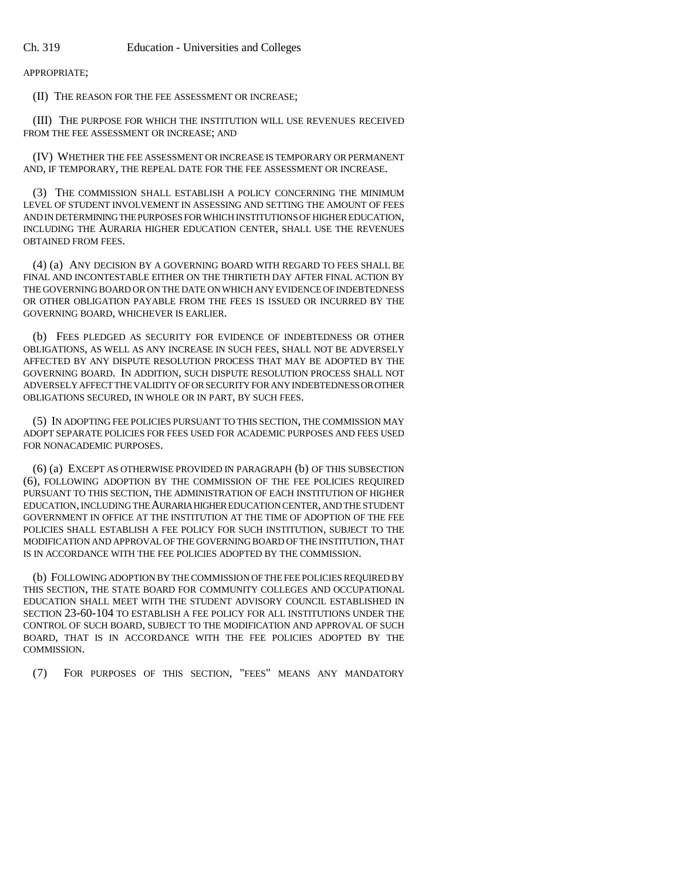APPROPRIATE;

(II) THE REASON FOR THE FEE ASSESSMENT OR INCREASE;

(III) THE PURPOSE FOR WHICH THE INSTITUTION WILL USE REVENUES RECEIVED FROM THE FEE ASSESSMENT OR INCREASE; AND

(IV) WHETHER THE FEE ASSESSMENT OR INCREASE IS TEMPORARY OR PERMANENT AND, IF TEMPORARY, THE REPEAL DATE FOR THE FEE ASSESSMENT OR INCREASE.

(3) THE COMMISSION SHALL ESTABLISH A POLICY CONCERNING THE MINIMUM LEVEL OF STUDENT INVOLVEMENT IN ASSESSING AND SETTING THE AMOUNT OF FEES AND IN DETERMINING THE PURPOSES FOR WHICH INSTITUTIONS OF HIGHER EDUCATION, INCLUDING THE AURARIA HIGHER EDUCATION CENTER, SHALL USE THE REVENUES OBTAINED FROM FEES.

(4) (a) ANY DECISION BY A GOVERNING BOARD WITH REGARD TO FEES SHALL BE FINAL AND INCONTESTABLE EITHER ON THE THIRTIETH DAY AFTER FINAL ACTION BY THE GOVERNING BOARD OR ON THE DATE ON WHICH ANY EVIDENCE OF INDEBTEDNESS OR OTHER OBLIGATION PAYABLE FROM THE FEES IS ISSUED OR INCURRED BY THE GOVERNING BOARD, WHICHEVER IS EARLIER.

(b) FEES PLEDGED AS SECURITY FOR EVIDENCE OF INDEBTEDNESS OR OTHER OBLIGATIONS, AS WELL AS ANY INCREASE IN SUCH FEES, SHALL NOT BE ADVERSELY AFFECTED BY ANY DISPUTE RESOLUTION PROCESS THAT MAY BE ADOPTED BY THE GOVERNING BOARD. IN ADDITION, SUCH DISPUTE RESOLUTION PROCESS SHALL NOT ADVERSELY AFFECT THE VALIDITY OF OR SECURITY FOR ANY INDEBTEDNESS OR OTHER OBLIGATIONS SECURED, IN WHOLE OR IN PART, BY SUCH FEES.

(5) IN ADOPTING FEE POLICIES PURSUANT TO THIS SECTION, THE COMMISSION MAY ADOPT SEPARATE POLICIES FOR FEES USED FOR ACADEMIC PURPOSES AND FEES USED FOR NONACADEMIC PURPOSES.

(6) (a) EXCEPT AS OTHERWISE PROVIDED IN PARAGRAPH (b) OF THIS SUBSECTION (6), FOLLOWING ADOPTION BY THE COMMISSION OF THE FEE POLICIES REQUIRED PURSUANT TO THIS SECTION, THE ADMINISTRATION OF EACH INSTITUTION OF HIGHER EDUCATION, INCLUDING THE AURARIA HIGHER EDUCATION CENTER, AND THE STUDENT GOVERNMENT IN OFFICE AT THE INSTITUTION AT THE TIME OF ADOPTION OF THE FEE POLICIES SHALL ESTABLISH A FEE POLICY FOR SUCH INSTITUTION, SUBJECT TO THE MODIFICATION AND APPROVAL OF THE GOVERNING BOARD OF THE INSTITUTION, THAT IS IN ACCORDANCE WITH THE FEE POLICIES ADOPTED BY THE COMMISSION.

(b) FOLLOWING ADOPTION BY THE COMMISSION OF THE FEE POLICIES REQUIRED BY THIS SECTION, THE STATE BOARD FOR COMMUNITY COLLEGES AND OCCUPATIONAL EDUCATION SHALL MEET WITH THE STUDENT ADVISORY COUNCIL ESTABLISHED IN SECTION 23-60-104 TO ESTABLISH A FEE POLICY FOR ALL INSTITUTIONS UNDER THE CONTROL OF SUCH BOARD, SUBJECT TO THE MODIFICATION AND APPROVAL OF SUCH BOARD, THAT IS IN ACCORDANCE WITH THE FEE POLICIES ADOPTED BY THE COMMISSION.

(7) FOR PURPOSES OF THIS SECTION, "FEES" MEANS ANY MANDATORY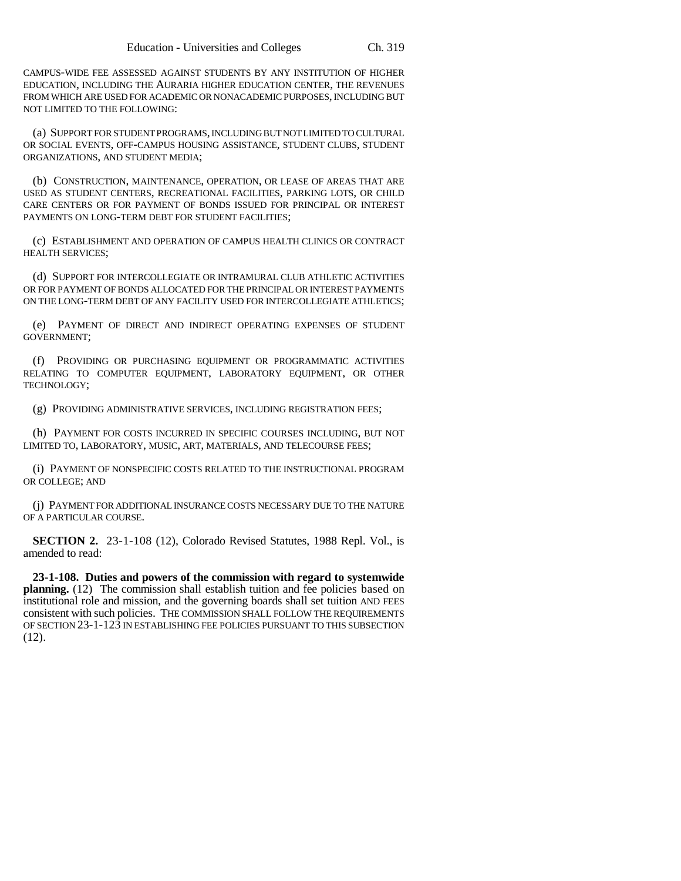CAMPUS-WIDE FEE ASSESSED AGAINST STUDENTS BY ANY INSTITUTION OF HIGHER EDUCATION, INCLUDING THE AURARIA HIGHER EDUCATION CENTER, THE REVENUES FROM WHICH ARE USED FOR ACADEMIC OR NONACADEMIC PURPOSES, INCLUDING BUT NOT LIMITED TO THE FOLLOWING:

(a) SUPPORT FOR STUDENT PROGRAMS, INCLUDING BUT NOT LIMITED TO CULTURAL OR SOCIAL EVENTS, OFF-CAMPUS HOUSING ASSISTANCE, STUDENT CLUBS, STUDENT ORGANIZATIONS, AND STUDENT MEDIA;

(b) CONSTRUCTION, MAINTENANCE, OPERATION, OR LEASE OF AREAS THAT ARE USED AS STUDENT CENTERS, RECREATIONAL FACILITIES, PARKING LOTS, OR CHILD CARE CENTERS OR FOR PAYMENT OF BONDS ISSUED FOR PRINCIPAL OR INTEREST PAYMENTS ON LONG-TERM DEBT FOR STUDENT FACILITIES;

(c) ESTABLISHMENT AND OPERATION OF CAMPUS HEALTH CLINICS OR CONTRACT HEALTH SERVICES;

(d) SUPPORT FOR INTERCOLLEGIATE OR INTRAMURAL CLUB ATHLETIC ACTIVITIES OR FOR PAYMENT OF BONDS ALLOCATED FOR THE PRINCIPAL OR INTEREST PAYMENTS ON THE LONG-TERM DEBT OF ANY FACILITY USED FOR INTERCOLLEGIATE ATHLETICS;

(e) PAYMENT OF DIRECT AND INDIRECT OPERATING EXPENSES OF STUDENT GOVERNMENT;

(f) PROVIDING OR PURCHASING EQUIPMENT OR PROGRAMMATIC ACTIVITIES RELATING TO COMPUTER EQUIPMENT, LABORATORY EQUIPMENT, OR OTHER TECHNOLOGY;

(g) PROVIDING ADMINISTRATIVE SERVICES, INCLUDING REGISTRATION FEES;

(h) PAYMENT FOR COSTS INCURRED IN SPECIFIC COURSES INCLUDING, BUT NOT LIMITED TO, LABORATORY, MUSIC, ART, MATERIALS, AND TELECOURSE FEES;

(i) PAYMENT OF NONSPECIFIC COSTS RELATED TO THE INSTRUCTIONAL PROGRAM OR COLLEGE; AND

(j) PAYMENT FOR ADDITIONAL INSURANCE COSTS NECESSARY DUE TO THE NATURE OF A PARTICULAR COURSE.

**SECTION 2.** 23-1-108 (12), Colorado Revised Statutes, 1988 Repl. Vol., is amended to read:

**23-1-108. Duties and powers of the commission with regard to systemwide planning.** (12) The commission shall establish tuition and fee policies based on institutional role and mission, and the governing boards shall set tuition AND FEES consistent with such policies. THE COMMISSION SHALL FOLLOW THE REQUIREMENTS OF SECTION 23-1-123 IN ESTABLISHING FEE POLICIES PURSUANT TO THIS SUBSECTION (12).